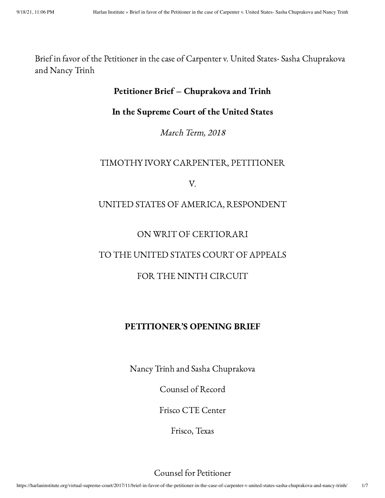Brief in favor of the Petitioner in the case of Carpenter v. United States- Sasha Chuprakova and Nancy Trinh

## Petitioner Brief – Chuprakova and Trinh

### In the Supreme Court of the United States

March Term, 2018

## TIMOTHY IVORY CARPENTER, PETITIONER

V.

## UNITED STATES OF AMERICA, RESPONDENT

### ON WRIT OF CERTIORARI

# TO THE UNITED STATES COURT OF APPEALS

# FOR THE NINTH CIRCUIT

## PETITIONER'S OPENING BRIEF

Nancy Trinh and Sasha Chuprakova

Counsel of Record

Frisco CTE Center

Frisco, Texas

Counsel for Petitioner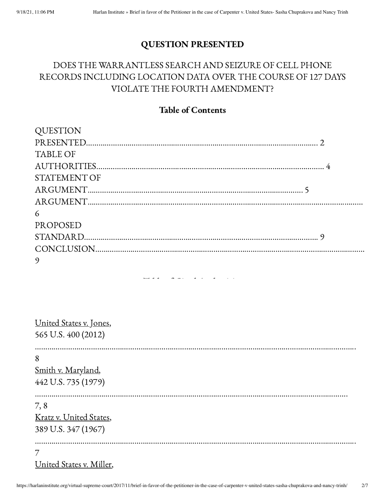# QUESTION PRESENTED

# DOES THE WARRANTLESS SEARCH AND SEIZURE OF CELL PHONE RECORDS INCLUDING LOCATION DATA OVER THE COURSE OF 127 DAYS VIOLATE THE FOURTH AMENDMENT?

# Table of Contents

| <b>QUESTION</b>     |  |
|---------------------|--|
|                     |  |
| <b>TABLE OF</b>     |  |
|                     |  |
| <b>STATEMENT OF</b> |  |
|                     |  |
|                     |  |
| 6                   |  |
| <b>PROPOSED</b>     |  |
|                     |  |
|                     |  |
| 9                   |  |

Table of Cited Authorities

| United States v. Jones,<br>565 U.S. 400 (2012)        |  |  |
|-------------------------------------------------------|--|--|
| 8<br>Smith v. Maryland,<br>442 U.S. 735 (1979)        |  |  |
| 7,8<br>Kratz v. United States,<br>389 U.S. 347 (1967) |  |  |
| 7<br>United States v. Miller.                         |  |  |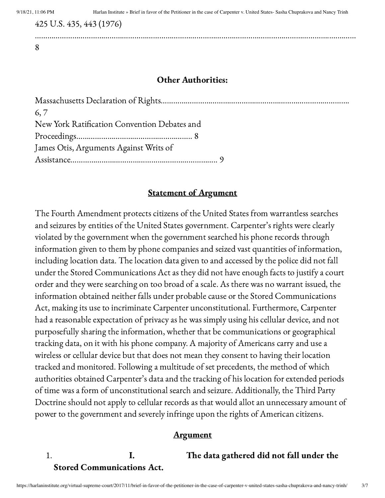425 U.S. 435, 443 (1976)

8

#### Other Authorities:

……………………………………………………………………………………………………………………………..…………

| 6, 7                                         |  |
|----------------------------------------------|--|
| New York Ratification Convention Debates and |  |
|                                              |  |
| James Otis, Arguments Against Writs of       |  |
|                                              |  |

# Statement of Argument

The Fourth Amendment protects citizens of the United States from warrantless searches and seizures by entities of the United States government. Carpenter's rights were clearly violated by the government when the government searched his phone records through information given to them by phone companies and seized vast quantities of information, including location data. The location data given to and accessed by the police did not fall under the Stored Communications Act as they did not have enough facts to justify a court order and they were searching on too broad of a scale. As there was no warrant issued, the information obtained neither falls under probable cause or the Stored Communications Act, making its use to incriminate Carpenter unconstitutional. Furthermore, Carpenter had a reasonable expectation of privacy as he was simply using his cellular device, and not purposefully sharing the information, whether that be communications or geographical tracking data, on it with his phone company. A majority of Americans carry and use a wireless or cellular device but that does not mean they consent to having their location tracked and monitored. Following a multitude of set precedents, the method of which authorities obtained Carpenter's data and the tracking of his location for extended periods of time was a form of unconstitutional search and seizure. Additionally, the Third Party Doctrine should not apply to cellular records as that would allot an unnecessary amount of power to the government and severely infringe upon the rights of American citizens.

### Argument

# 1. I. The data gathered did not fall under the Stored Communications Act.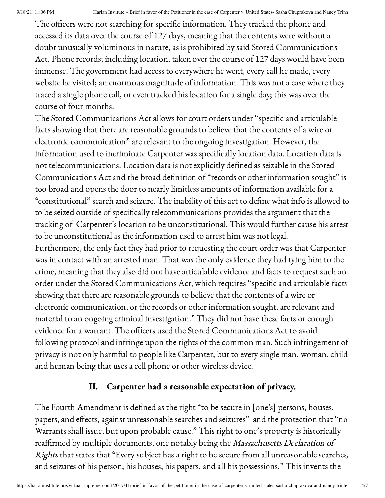The officers were not searching for specific information. They tracked the phone and accessed its data over the course of 127 days, meaning that the contents were without a doubt unusually voluminous in nature, as is prohibited by said Stored Communications Act. Phone records; including location, taken over the course of 127 days would have been immense. The government had access to everywhere he went, every call he made, every website he visited; an enormous magnitude of information. This was not a case where they traced a single phone call, or even tracked his location for a single day; this was over the course of four months.

The Stored Communications Act allows for court orders under "specific and articulable facts showing that there are reasonable grounds to believe that the contents of a wire or electronic communication" are relevant to the ongoing investigation. However, the information used to incriminate Carpenter was specifically location data. Location data is not telecommunications. Location data is not explicitly defined as seizable in the Stored Communications Act and the broad definition of "records or other information sought" is too broad and opens the door to nearly limitless amounts of information available for a "constitutional" search and seizure. The inability of this act to define what info is allowed to to be seized outside of specifically telecommunications provides the argument that the tracking of Carpenter's location to be unconstitutional. This would further cause his arrest to be unconstitutional as the information used to arrest him was not legal. Furthermore, the only fact they had prior to requesting the court order was that Carpenter was in contact with an arrested man. That was the only evidence they had tying him to the crime, meaning that they also did not have articulable evidence and facts to request such an order under the Stored Communications Act, which requires "specific and articulable facts showing that there are reasonable grounds to believe that the contents of a wire or electronic communication, or the records or other information sought, are relevant and material to an ongoing criminal investigation." They did not have these facts or enough evidence for a warrant. The officers used the Stored Communications Act to avoid following protocol and infringe upon the rights of the common man. Such infringement of privacy is not only harmful to people like Carpenter, but to every single man, woman, child and human being that uses a cell phone or other wireless device.

# II. Carpenter had a reasonable expectation of privacy.

The Fourth Amendment is defined as the right "to be secure in [one's] persons, houses, papers, and effects, against unreasonable searches and seizures" and the protection that "no Warrants shall issue, but upon probable cause." This right to one's property is historically reaffirmed by multiple documents, one notably being the Massachusetts Declaration of Rights that states that "Every subject has a right to be secure from all unreasonable searches, and seizures of his person, his houses, his papers, and all his possessions." This invents the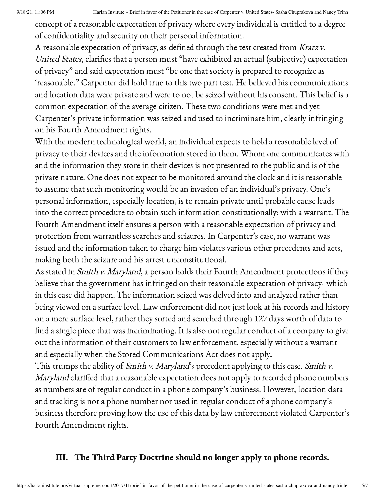concept of a reasonable expectation of privacy where every individual is entitled to a degree of confidentiality and security on their personal information.

A reasonable expectation of privacy, as defined through the test created from Kratz v. United States, clarifies that a person must "have exhibited an actual (subjective) expectation of privacy" and said expectation must "be one that society is prepared to recognize as 'reasonable." Carpenter did hold true to this two part test. He believed his communications and location data were private and were to not be seized without his consent. This belief is a common expectation of the average citizen. These two conditions were met and yet Carpenter's private information was seized and used to incriminate him, clearly infringing on his Fourth Amendment rights.

With the modern technological world, an individual expects to hold a reasonable level of privacy to their devices and the information stored in them. Whom one communicates with and the information they store in their devices is not presented to the public and is of the private nature. One does not expect to be monitored around the clock and it is reasonable to assume that such monitoring would be an invasion of an individual's privacy. One's personal information, especially location, is to remain private until probable cause leads into the correct procedure to obtain such information constitutionally; with a warrant. The Fourth Amendment itself ensures a person with a reasonable expectation of privacy and protection from warrantless searches and seizures. In Carpenter's case, no warrant was issued and the information taken to charge him violates various other precedents and acts, making both the seizure and his arrest unconstitutional.

As stated in *Smith v. Maryland*, a person holds their Fourth Amendment protections if they believe that the government has infringed on their reasonable expectation of privacy- which in this case did happen. The information seized was delved into and analyzed rather than being viewed on a surface level. Law enforcement did not just look at his records and history on a mere surface level, rather they sorted and searched through 127 days worth of data to find a single piece that was incriminating. It is also not regular conduct of a company to give out the information of their customers to law enforcement, especially without a warrant and especially when the Stored Communications Act does not apply.

This trumps the ability of *Smith v. Maryland*'s precedent applying to this case. *Smith v.* Maryland clarified that a reasonable expectation does not apply to recorded phone numbers as numbers are of regular conduct in a phone company's business. However, location data and tracking is not a phone number nor used in regular conduct of a phone company's business therefore proving how the use of this data by law enforcement violated Carpenter's Fourth Amendment rights.

# III. The Third Party Doctrine should no longer apply to phone records.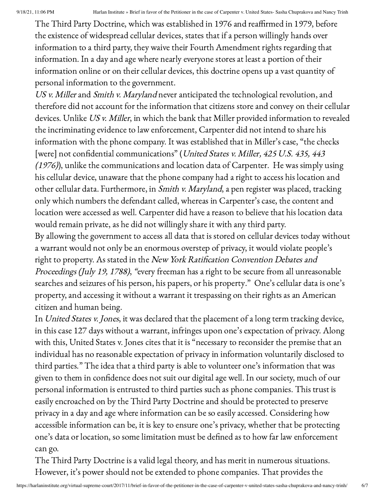The Third Party Doctrine, which was established in 1976 and reaffirmed in 1979, before the existence of widespread cellular devices, states that if a person willingly hands over information to a third party, they waive their Fourth Amendment rights regarding that information. In a day and age where nearly everyone stores at least a portion of their information online or on their cellular devices, this doctrine opens up a vast quantity of personal information to the government.

US v. Miller and Smith v. Maryland never anticipated the technological revolution, and therefore did not account for the information that citizens store and convey on their cellular devices. Unlike US v. Miller, in which the bank that Miller provided information to revealed the incriminating evidence to law enforcement, Carpenter did not intend to share his information with the phone company. It was established that in Miller's case, "the checks [were] not confidential communications" (United States v. Miller, 425 U.S. 435, 443 (1976)), unlike the communications and location data of Carpenter. He was simply using his cellular device, unaware that the phone company had a right to access his location and other cellular data. Furthermore, in Smith v. Maryland, a pen register was placed, tracking only which numbers the defendant called, whereas in Carpenter's case, the content and location were accessed as well. Carpenter did have a reason to believe that his location data would remain private, as he did not willingly share it with any third party.

By allowing the government to access all data that is stored on cellular devices today without a warrant would not only be an enormous overstep of privacy, it would violate people's right to property. As stated in the New York Ratification Convention Debates and Proceedings (July 19, 1788), "every freeman has a right to be secure from all unreasonable searches and seizures of his person, his papers, or his property." One's cellular data is one's property, and accessing it without a warrant it trespassing on their rights as an American citizen and human being.

In United States v. Jones, it was declared that the placement of a long term tracking device, in this case 127 days without a warrant, infringes upon one's expectation of privacy. Along with this, United States v. Jones cites that it is "necessary to reconsider the premise that an individual has no reasonable expectation of privacy in information voluntarily disclosed to third parties." The idea that a third party is able to volunteer one's information that was given to them in confidence does not suit our digital age well. In our society, much of our personal information is entrusted to third parties such as phone companies. This trust is easily encroached on by the Third Party Doctrine and should be protected to preserve privacy in a day and age where information can be so easily accessed. Considering how accessible information can be, it is key to ensure one's privacy, whether that be protecting one's data or location, so some limitation must be defined as to how far law enforcement can go.

The Third Party Doctrine is a valid legal theory, and has merit in numerous situations. However, it's power should not be extended to phone companies. That provides the